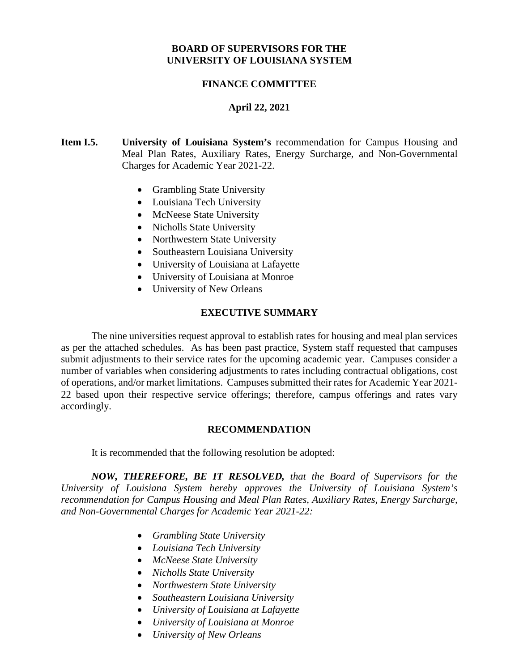### **BOARD OF SUPERVISORS FOR THE UNIVERSITY OF LOUISIANA SYSTEM**

### **FINANCE COMMITTEE**

### **April 22, 2021**

### **Item I.5. University of Louisiana System's** recommendation for Campus Housing and Meal Plan Rates, Auxiliary Rates, Energy Surcharge, and Non-Governmental Charges for Academic Year 2021-22.

- Grambling State University
- Louisiana Tech University
- McNeese State University
- Nicholls State University
- Northwestern State University
- Southeastern Louisiana University
- University of Louisiana at Lafayette
- University of Louisiana at Monroe
- University of New Orleans

### **EXECUTIVE SUMMARY**

The nine universities request approval to establish rates for housing and meal plan services as per the attached schedules. As has been past practice, System staff requested that campuses submit adjustments to their service rates for the upcoming academic year. Campuses consider a number of variables when considering adjustments to rates including contractual obligations, cost of operations, and/or market limitations. Campuses submitted their rates for Academic Year 2021- 22 based upon their respective service offerings; therefore, campus offerings and rates vary accordingly.

#### **RECOMMENDATION**

It is recommended that the following resolution be adopted:

*NOW, THEREFORE, BE IT RESOLVED, that the Board of Supervisors for the University of Louisiana System hereby approves the University of Louisiana System's recommendation for Campus Housing and Meal Plan Rates, Auxiliary Rates, Energy Surcharge, and Non-Governmental Charges for Academic Year 2021-22:*

- *Grambling State University*
- *Louisiana Tech University*
- *McNeese State University*
- *Nicholls State University*
- *Northwestern State University*
- *Southeastern Louisiana University*
- *University of Louisiana at Lafayette*
- *University of Louisiana at Monroe*
- *University of New Orleans*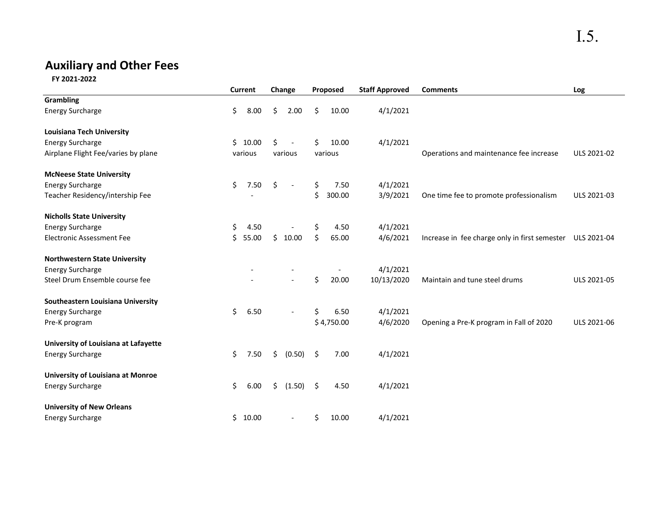# I.5.

## **Auxiliary and Other Fees**

 **FY 2021-2022**

|                                          |    | <b>Current</b> |    | Change                   |    | Proposed   | <b>Staff Approved</b> | <b>Comments</b>                                           | Log         |
|------------------------------------------|----|----------------|----|--------------------------|----|------------|-----------------------|-----------------------------------------------------------|-------------|
| <b>Grambling</b>                         |    |                |    |                          |    |            |                       |                                                           |             |
| <b>Energy Surcharge</b>                  | \$ | 8.00           | Ŝ. | 2.00                     | Ŝ. | 10.00      | 4/1/2021              |                                                           |             |
| <b>Louisiana Tech University</b>         |    |                |    |                          |    |            |                       |                                                           |             |
| <b>Energy Surcharge</b>                  |    | \$10.00        | Ś. | $\overline{\phantom{a}}$ | Ś. | 10.00      | 4/1/2021              |                                                           |             |
| Airplane Flight Fee/varies by plane      |    | various        |    | various                  |    | various    |                       | Operations and maintenance fee increase                   | ULS 2021-02 |
| <b>McNeese State University</b>          |    |                |    |                          |    |            |                       |                                                           |             |
| <b>Energy Surcharge</b>                  | \$ | 7.50           | \$ | $\overline{\phantom{a}}$ | \$ | 7.50       | 4/1/2021              |                                                           |             |
| Teacher Residency/intership Fee          |    |                |    |                          | \$ | 300.00     | 3/9/2021              | One time fee to promote professionalism                   | ULS 2021-03 |
| <b>Nicholls State University</b>         |    |                |    |                          |    |            |                       |                                                           |             |
| <b>Energy Surcharge</b>                  | \$ | 4.50           |    |                          | \$ | 4.50       | 4/1/2021              |                                                           |             |
| <b>Electronic Assessment Fee</b>         | Ś. | 55.00          | Ś. | 10.00                    | \$ | 65.00      | 4/6/2021              | Increase in fee charge only in first semester ULS 2021-04 |             |
| <b>Northwestern State University</b>     |    |                |    |                          |    |            |                       |                                                           |             |
| <b>Energy Surcharge</b>                  |    |                |    |                          |    |            | 4/1/2021              |                                                           |             |
| Steel Drum Ensemble course fee           |    |                |    |                          | \$ | 20.00      | 10/13/2020            | Maintain and tune steel drums                             | ULS 2021-05 |
| Southeastern Louisiana University        |    |                |    |                          |    |            |                       |                                                           |             |
| <b>Energy Surcharge</b>                  | \$ | 6.50           |    |                          | \$ | 6.50       | 4/1/2021              |                                                           |             |
| Pre-K program                            |    |                |    |                          |    | \$4,750.00 | 4/6/2020              | Opening a Pre-K program in Fall of 2020                   | ULS 2021-06 |
| University of Louisiana at Lafayette     |    |                |    |                          |    |            |                       |                                                           |             |
| <b>Energy Surcharge</b>                  | \$ | 7.50           | \$ | (0.50)                   | \$ | 7.00       | 4/1/2021              |                                                           |             |
| <b>University of Louisiana at Monroe</b> |    |                |    |                          |    |            |                       |                                                           |             |
| <b>Energy Surcharge</b>                  | \$ | 6.00           | \$ | (1.50)                   | \$ | 4.50       | 4/1/2021              |                                                           |             |
| <b>University of New Orleans</b>         |    |                |    |                          |    |            |                       |                                                           |             |
| <b>Energy Surcharge</b>                  |    | \$10.00        |    | $\overline{\phantom{a}}$ | \$ | 10.00      | 4/1/2021              |                                                           |             |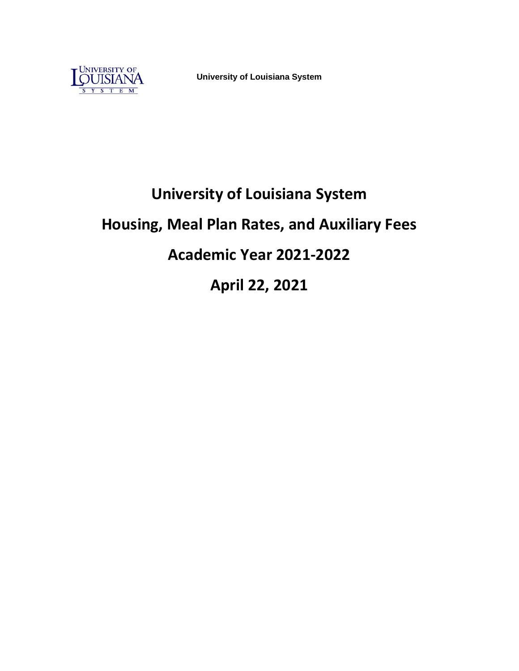

**University of Louisiana System**

# **University of Louisiana System Housing, Meal Plan Rates, and Auxiliary Fees Academic Year 2021-2022 April 22, 2021**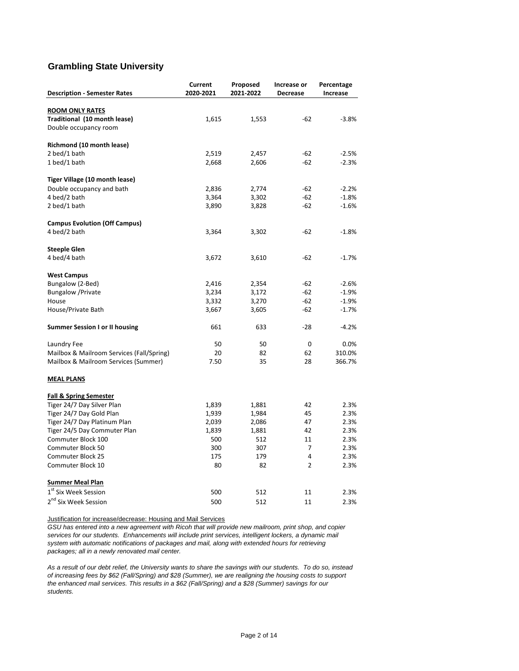### **Grambling State University**

|                                           | Current   | Proposed  | Increase or    | Percentage |
|-------------------------------------------|-----------|-----------|----------------|------------|
| <b>Description - Semester Rates</b>       | 2020-2021 | 2021-2022 | Decrease       | Increase   |
|                                           |           |           |                |            |
| <b>ROOM ONLY RATES</b>                    |           |           |                |            |
| Traditional (10 month lease)              | 1,615     | 1,553     | $-62$          | $-3.8%$    |
| Double occupancy room                     |           |           |                |            |
| Richmond (10 month lease)                 |           |           |                |            |
| 2 bed/1 bath                              | 2,519     | 2,457     | $-62$          | $-2.5%$    |
| 1 bed/1 bath                              | 2,668     | 2,606     | $-62$          | $-2.3%$    |
| Tiger Village (10 month lease)            |           |           |                |            |
| Double occupancy and bath                 | 2,836     | 2,774     | $-62$          | $-2.2%$    |
| 4 bed/2 bath                              | 3,364     | 3,302     | $-62$          | $-1.8%$    |
| 2 bed/1 bath                              | 3,890     | 3,828     | $-62$          | $-1.6%$    |
| <b>Campus Evolution (Off Campus)</b>      |           |           |                |            |
| 4 bed/2 bath                              | 3,364     | 3,302     | $-62$          | $-1.8%$    |
|                                           |           |           |                |            |
| <b>Steeple Glen</b>                       |           |           |                |            |
| 4 bed/4 bath                              | 3,672     | 3,610     | -62            | $-1.7%$    |
| <b>West Campus</b>                        |           |           |                |            |
| Bungalow (2-Bed)                          | 2,416     | 2,354     | -62            | $-2.6%$    |
| <b>Bungalow</b> / Private                 | 3,234     | 3,172     | $-62$          | $-1.9%$    |
| House                                     | 3,332     | 3,270     | $-62$          | $-1.9%$    |
| House/Private Bath                        | 3,667     | 3,605     | -62            | $-1.7%$    |
| <b>Summer Session I or II housing</b>     | 661       | 633       | $-28$          | $-4.2%$    |
| Laundry Fee                               | 50        | 50        | 0              | 0.0%       |
| Mailbox & Mailroom Services (Fall/Spring) | 20        | 82        | 62             | 310.0%     |
| Mailbox & Mailroom Services (Summer)      | 7.50      | 35        | 28             | 366.7%     |
| <b>MEAL PLANS</b>                         |           |           |                |            |
| <b>Fall &amp; Spring Semester</b>         |           |           |                |            |
| Tiger 24/7 Day Silver Plan                | 1,839     | 1,881     | 42             | 2.3%       |
| Tiger 24/7 Day Gold Plan                  | 1,939     | 1,984     | 45             | 2.3%       |
| Tiger 24/7 Day Platinum Plan              | 2,039     | 2,086     | 47             | 2.3%       |
| Tiger 24/5 Day Commuter Plan              | 1,839     | 1,881     | 42             | 2.3%       |
| Commuter Block 100                        | 500       | 512       | 11             | 2.3%       |
| Commuter Block 50                         | 300       | 307       | 7              | 2.3%       |
| Commuter Block 25                         | 175       | 179       | 4              | 2.3%       |
| Commuter Block 10                         | 80        | 82        | $\overline{2}$ | 2.3%       |
| <b>Summer Meal Plan</b>                   |           |           |                |            |
| 1 <sup>st</sup> Six Week Session          | 500       | 512       | 11             | 2.3%       |
| 2 <sup>nd</sup> Six Week Session          | 500       | 512       | 11             | 2.3%       |
|                                           |           |           |                |            |

Justification for increase/decrease: Housing and Mail Services

*GSU has entered into a new agreement with Ricoh that will provide new mailroom, print shop, and copier services for our students. Enhancements will include print services, intelligent lockers, a dynamic mail system with automatic notifications of packages and mail, along with extended hours for retrieving packages; all in a newly renovated mail center.* 

*As a result of our debt relief, the University wants to share the savings with our students. To do so, instead of increasing fees by \$62 (Fall/Spring) and \$28 (Summer), we are realigning the housing costs to support the enhanced mail services. This results in a \$62 (Fall/Spring) and a \$28 (Summer) savings for our students.*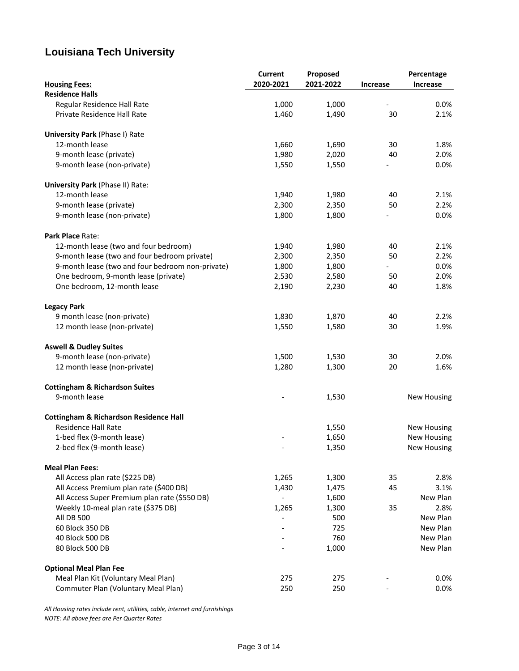### **Louisiana Tech University**

|                                                   | <b>Current</b> | Proposed  |                 | Percentage         |
|---------------------------------------------------|----------------|-----------|-----------------|--------------------|
| <b>Housing Fees:</b>                              | 2020-2021      | 2021-2022 | <b>Increase</b> | Increase           |
| <b>Residence Halls</b>                            |                |           |                 |                    |
| Regular Residence Hall Rate                       | 1,000          | 1,000     |                 | 0.0%               |
| Private Residence Hall Rate                       | 1,460          | 1,490     | 30              | 2.1%               |
| <b>University Park (Phase I) Rate</b>             |                |           |                 |                    |
| 12-month lease                                    | 1,660          | 1,690     | 30              | 1.8%               |
| 9-month lease (private)                           | 1,980          | 2,020     | 40              | 2.0%               |
| 9-month lease (non-private)                       | 1,550          | 1,550     |                 | 0.0%               |
| University Park (Phase II) Rate:                  |                |           |                 |                    |
| 12-month lease                                    | 1,940          | 1,980     | 40              | 2.1%               |
| 9-month lease (private)                           | 2,300          | 2,350     | 50              | 2.2%               |
| 9-month lease (non-private)                       | 1,800          | 1,800     |                 | 0.0%               |
| Park Place Rate:                                  |                |           |                 |                    |
| 12-month lease (two and four bedroom)             | 1,940          | 1,980     | 40              | 2.1%               |
| 9-month lease (two and four bedroom private)      | 2,300          | 2,350     | 50              | 2.2%               |
| 9-month lease (two and four bedroom non-private)  | 1,800          | 1,800     |                 | 0.0%               |
| One bedroom, 9-month lease (private)              | 2,530          | 2,580     | 50              | 2.0%               |
| One bedroom, 12-month lease                       | 2,190          | 2,230     | 40              | 1.8%               |
| <b>Legacy Park</b>                                |                |           |                 |                    |
| 9 month lease (non-private)                       | 1,830          | 1,870     | 40              | 2.2%               |
| 12 month lease (non-private)                      | 1,550          | 1,580     | 30              | 1.9%               |
| <b>Aswell &amp; Dudley Suites</b>                 |                |           |                 |                    |
| 9-month lease (non-private)                       | 1,500          | 1,530     | 30              | 2.0%               |
| 12 month lease (non-private)                      | 1,280          | 1,300     | 20              | 1.6%               |
| <b>Cottingham &amp; Richardson Suites</b>         |                |           |                 |                    |
| 9-month lease                                     |                | 1,530     |                 | <b>New Housing</b> |
| <b>Cottingham &amp; Richardson Residence Hall</b> |                |           |                 |                    |
| <b>Residence Hall Rate</b>                        |                | 1,550     |                 | <b>New Housing</b> |
| 1-bed flex (9-month lease)                        |                | 1,650     |                 | <b>New Housing</b> |
| 2-bed flex (9-month lease)                        |                | 1,350     |                 | New Housing        |
| <b>Meal Plan Fees:</b>                            |                |           |                 |                    |
| All Access plan rate (\$225 DB)                   | 1,265          | 1,300     | 35              | 2.8%               |
| All Access Premium plan rate (\$400 DB)           | 1,430          | 1,475     | 45              | 3.1%               |
| All Access Super Premium plan rate (\$550 DB)     |                | 1,600     |                 | New Plan           |
| Weekly 10-meal plan rate (\$375 DB)               | 1,265          | 1,300     | 35              | 2.8%               |
| <b>All DB 500</b>                                 |                | 500       |                 | New Plan           |
| 60 Block 350 DB                                   |                | 725       |                 | New Plan           |
| 40 Block 500 DB                                   |                | 760       |                 | New Plan           |
| 80 Block 500 DB                                   |                | 1,000     |                 | New Plan           |
| <b>Optional Meal Plan Fee</b>                     |                |           |                 |                    |
| Meal Plan Kit (Voluntary Meal Plan)               | 275            | 275       |                 | 0.0%               |
| Commuter Plan (Voluntary Meal Plan)               | 250            | 250       |                 | 0.0%               |

*All Housing rates include rent, utilities, cable, internet and furnishings NOTE: All above fees are Per Quarter Rates*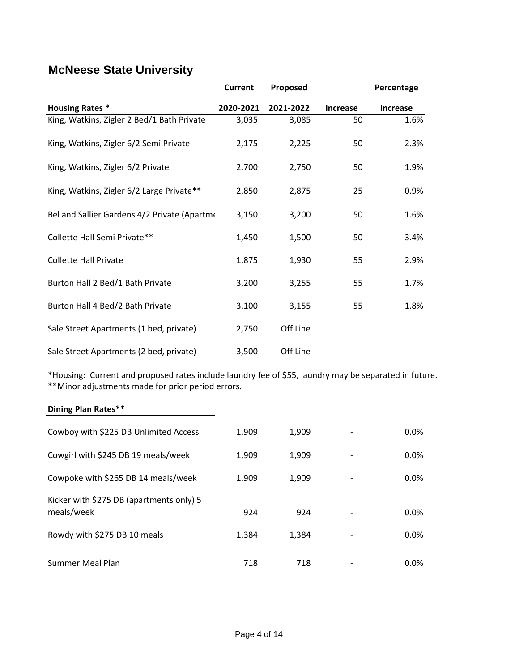### **McNeese State University**

|                                              | <b>Current</b> | Proposed  |                 | Percentage      |
|----------------------------------------------|----------------|-----------|-----------------|-----------------|
| <b>Housing Rates *</b>                       | 2020-2021      | 2021-2022 | <b>Increase</b> | <b>Increase</b> |
| King, Watkins, Zigler 2 Bed/1 Bath Private   | 3,035          | 3,085     | 50              | 1.6%            |
| King, Watkins, Zigler 6/2 Semi Private       | 2,175          | 2,225     | 50              | 2.3%            |
| King, Watkins, Zigler 6/2 Private            | 2,700          | 2,750     | 50              | 1.9%            |
| King, Watkins, Zigler 6/2 Large Private**    | 2,850          | 2,875     | 25              | 0.9%            |
| Bel and Sallier Gardens 4/2 Private (Apartme | 3,150          | 3,200     | 50              | 1.6%            |
| Collette Hall Semi Private**                 | 1,450          | 1,500     | 50              | 3.4%            |
| <b>Collette Hall Private</b>                 | 1,875          | 1,930     | 55              | 2.9%            |
| Burton Hall 2 Bed/1 Bath Private             | 3,200          | 3,255     | 55              | 1.7%            |
| Burton Hall 4 Bed/2 Bath Private             | 3,100          | 3,155     | 55              | 1.8%            |
| Sale Street Apartments (1 bed, private)      | 2,750          | Off Line  |                 |                 |
| Sale Street Apartments (2 bed, private)      | 3,500          | Off Line  |                 |                 |

\*Housing: Current and proposed rates include laundry fee of \$55, laundry may be separated in future. \*\*Minor adjustments made for prior period errors.

### **Dining Plan Rates\*\***

| Cowboy with \$225 DB Unlimited Access                  | 1,909 | 1,909 | 0.0% |
|--------------------------------------------------------|-------|-------|------|
| Cowgirl with \$245 DB 19 meals/week                    | 1,909 | 1,909 | 0.0% |
| Cowpoke with \$265 DB 14 meals/week                    | 1,909 | 1,909 | 0.0% |
| Kicker with \$275 DB (apartments only) 5<br>meals/week | 924   | 924   | 0.0% |
| Rowdy with \$275 DB 10 meals                           | 1,384 | 1.384 | 0.0% |
| Summer Meal Plan                                       | 718   | 718   | 0.0% |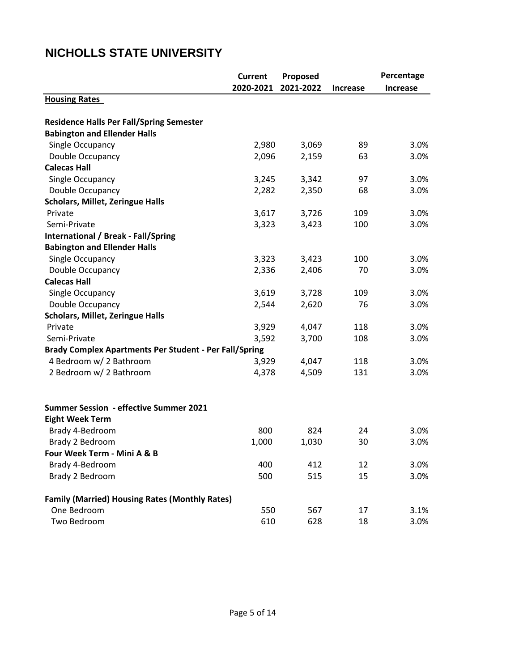### **Current Proposed 2020-2021 2021-2022 Increase Housing Rates Residence Halls Per Fall/Spring Semester Babington and Ellender Halls** Single Occupancy 2,980 3,069 89 3.0% Double Occupancy 2,096 2,159 63 3.0% **Calecas Hall** Single Occupancy 1.1 and 2.0% 3.245 3.342 97 3.0% Double Occupancy 2,282 2,350 68 3.0% **Scholars, Millet, Zeringue Halls** Private 3,617 3,726 109 3.0% Semi-Private 3,323 3,423 100 3.0% **International / Break - Fall/Spring Babington and Ellender Halls** Single Occupancy 1.1 and 2.0% 3,323 3,423 100 3.0% Double Occupancy 2,336 2,406 70 3.0% **Calecas Hall** Single Occupancy 1.1 and 2.0% 3.619 3.728 109 3.0% Double Occupancy 2,544 2,620 76 3.0% **Scholars, Millet, Zeringue Halls** Private 3,929 4,047 118 3.0% Semi-Private 3,592 3,700 108 3.0% **Brady Complex Apartments Per Student - Per Fall/Spring** 4 Bedroom w/ 2 Bathroom 3,929 4,047 118 3.0% 2 Bedroom w/ 2 Bathroom 1,378 4,378 4,509 131 3.0% **Summer Session - effective Summer 2021 Eight Week Term** Brady 4-Bedroom **800** 824 24 3.0% Brady 2 Bedroom 1,000 1,030 30 3.0% **Four Week Term - Mini A & B** Brady 4-Bedroom 100 100 400 412 12 3.0% Brady 2 Bedroom 600 500 515 15 3.0% **Family (Married) Housing Rates (Monthly Rates)** One Bedroom 550 567 17 3.1% Two Bedroom 610 628 18 3.0%  **Percentage Increase**

### **NICHOLLS STATE UNIVERSITY**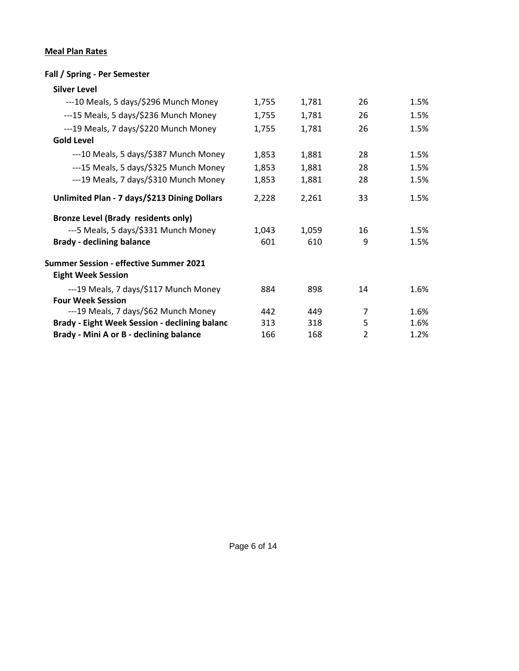### **Meal Plan Rates**

#### **Fall / Spring - Per Semester**

| <b>Silver Level</b>                                                        |       |       |               |      |
|----------------------------------------------------------------------------|-------|-------|---------------|------|
| ---10 Meals, 5 days/\$296 Munch Money                                      | 1,755 | 1,781 | 26            | 1.5% |
| ---15 Meals, 5 days/\$236 Munch Money                                      | 1,755 | 1,781 | 26            | 1.5% |
| ---19 Meals, 7 days/\$220 Munch Money                                      | 1,755 | 1,781 | 26            | 1.5% |
| <b>Gold Level</b>                                                          |       |       |               |      |
| ---10 Meals, 5 days/\$387 Munch Money                                      | 1,853 | 1,881 | 28            | 1.5% |
| ---15 Meals, 5 days/\$325 Munch Money                                      | 1,853 | 1,881 | 28            | 1.5% |
| ---19 Meals, 7 days/\$310 Munch Money                                      | 1,853 | 1,881 | 28            | 1.5% |
| Unlimited Plan - 7 days/\$213 Dining Dollars                               | 2,228 | 2,261 | 33            | 1.5% |
| <b>Bronze Level (Brady residents only)</b>                                 |       |       |               |      |
| ---5 Meals, 5 days/\$331 Munch Money                                       | 1,043 | 1,059 | 16            | 1.5% |
| <b>Brady - declining balance</b>                                           | 601   | 610   | 9             | 1.5% |
| <b>Summer Session - effective Summer 2021</b><br><b>Eight Week Session</b> |       |       |               |      |
| ---19 Meals, 7 days/\$117 Munch Money                                      | 884   | 898   | 14            | 1.6% |
| <b>Four Week Session</b><br>---19 Meals, 7 days/\$62 Munch Money           | 442   | 449   | 7             | 1.6% |
| <b>Brady - Eight Week Session - declining balanc</b>                       | 313   | 318   | 5             | 1.6% |
| Brady - Mini A or B - declining balance                                    | 166   | 168   | $\mathfrak z$ | 1.2% |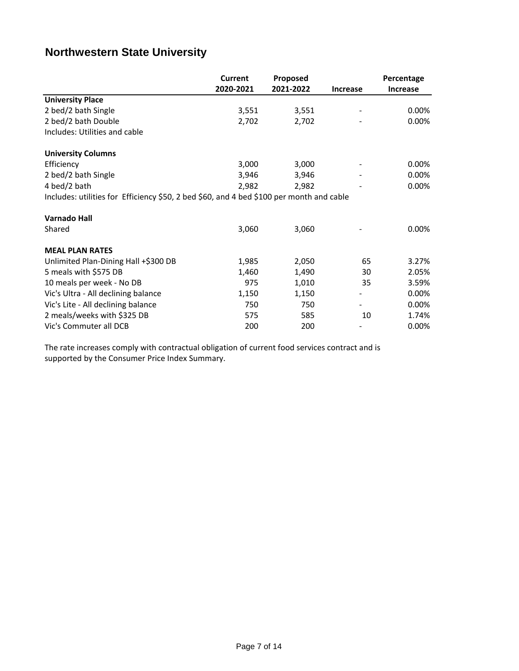### **Northwestern State University**

|                                                                                          | <b>Current</b> | Proposed  |                 | Percentage      |
|------------------------------------------------------------------------------------------|----------------|-----------|-----------------|-----------------|
|                                                                                          | 2020-2021      | 2021-2022 | <b>Increase</b> | <b>Increase</b> |
| <b>University Place</b>                                                                  |                |           |                 |                 |
| 2 bed/2 bath Single                                                                      | 3,551          | 3,551     |                 | 0.00%           |
| 2 bed/2 bath Double                                                                      | 2,702          | 2,702     |                 | 0.00%           |
| Includes: Utilities and cable                                                            |                |           |                 |                 |
| <b>University Columns</b>                                                                |                |           |                 |                 |
| Efficiency                                                                               | 3,000          | 3,000     |                 | 0.00%           |
| 2 bed/2 bath Single                                                                      | 3,946          | 3,946     |                 | 0.00%           |
| 4 bed/2 bath                                                                             | 2,982          | 2,982     |                 | 0.00%           |
| Includes: utilities for Efficiency \$50, 2 bed \$60, and 4 bed \$100 per month and cable |                |           |                 |                 |
| <b>Varnado Hall</b>                                                                      |                |           |                 |                 |
| Shared                                                                                   | 3,060          | 3,060     |                 | 0.00%           |
| <b>MEAL PLAN RATES</b>                                                                   |                |           |                 |                 |
| Unlimited Plan-Dining Hall +\$300 DB                                                     | 1,985          | 2,050     | 65              | 3.27%           |
| 5 meals with \$575 DB                                                                    | 1,460          | 1,490     | 30              | 2.05%           |
| 10 meals per week - No DB                                                                | 975            | 1,010     | 35              | 3.59%           |
| Vic's Ultra - All declining balance                                                      | 1,150          | 1,150     |                 | 0.00%           |
| Vic's Lite - All declining balance                                                       | 750            | 750       |                 | 0.00%           |
| 2 meals/weeks with \$325 DB                                                              | 575            | 585       | 10              | 1.74%           |
| Vic's Commuter all DCB                                                                   | 200            | 200       |                 | 0.00%           |

The rate increases comply with contractual obligation of current food services contract and is supported by the Consumer Price Index Summary.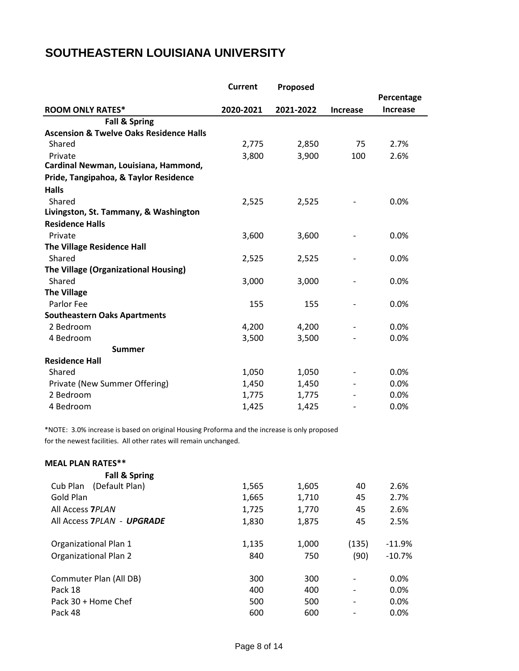### **SOUTHEASTERN LOUISIANA UNIVERSITY**

|                                                    | <b>Current</b> | Proposed  |                 |                 |
|----------------------------------------------------|----------------|-----------|-----------------|-----------------|
|                                                    |                |           |                 | Percentage      |
| <b>ROOM ONLY RATES*</b>                            | 2020-2021      | 2021-2022 | <b>Increase</b> | <b>Increase</b> |
| <b>Fall &amp; Spring</b>                           |                |           |                 |                 |
| <b>Ascension &amp; Twelve Oaks Residence Halls</b> |                |           |                 |                 |
| Shared                                             | 2,775          | 2,850     | 75              | 2.7%            |
| Private                                            | 3,800          | 3,900     | 100             | 2.6%            |
| Cardinal Newman, Louisiana, Hammond,               |                |           |                 |                 |
| Pride, Tangipahoa, & Taylor Residence              |                |           |                 |                 |
| <b>Halls</b>                                       |                |           |                 |                 |
| Shared                                             | 2,525          | 2,525     |                 | 0.0%            |
| Livingston, St. Tammany, & Washington              |                |           |                 |                 |
| <b>Residence Halls</b>                             |                |           |                 |                 |
| Private                                            | 3,600          | 3,600     |                 | 0.0%            |
| <b>The Village Residence Hall</b>                  |                |           |                 |                 |
| Shared                                             | 2,525          | 2,525     |                 | 0.0%            |
| The Village (Organizational Housing)               |                |           |                 |                 |
| Shared                                             | 3,000          | 3,000     |                 | 0.0%            |
| <b>The Village</b>                                 |                |           |                 |                 |
| Parlor Fee                                         | 155            | 155       |                 | 0.0%            |
| <b>Southeastern Oaks Apartments</b>                |                |           |                 |                 |
| 2 Bedroom                                          | 4,200          | 4,200     |                 | 0.0%            |
| 4 Bedroom                                          | 3,500          | 3,500     |                 | 0.0%            |
| <b>Summer</b>                                      |                |           |                 |                 |
| <b>Residence Hall</b>                              |                |           |                 |                 |
| Shared                                             | 1,050          | 1,050     |                 | 0.0%            |
| Private (New Summer Offering)                      | 1,450          | 1,450     |                 | 0.0%            |
| 2 Bedroom                                          | 1,775          | 1,775     |                 | 0.0%            |
| 4 Bedroom                                          | 1,425          | 1,425     |                 | 0.0%            |

\*NOTE: 3.0% increase is based on original Housing Proforma and the increase is only proposed for the newest facilities. All other rates will remain unchanged.

| <b>MEAL PLAN RATES**</b>     |       |       |       |          |
|------------------------------|-------|-------|-------|----------|
| <b>Fall &amp; Spring</b>     |       |       |       |          |
| (Default Plan)<br>Cub Plan   | 1,565 | 1,605 | 40    | 2.6%     |
| Gold Plan                    | 1,665 | 1,710 | 45    | 2.7%     |
| All Access 7PLAN             | 1,725 | 1,770 | 45    | 2.6%     |
| All Access 7PLAN - UPGRADE   | 1,830 | 1,875 | 45    | 2.5%     |
| Organizational Plan 1        | 1,135 | 1,000 | (135) | $-11.9%$ |
| <b>Organizational Plan 2</b> | 840   | 750   | (90)  | $-10.7%$ |
| Commuter Plan (All DB)       | 300   | 300   |       | 0.0%     |
| Pack 18                      | 400   | 400   |       | $0.0\%$  |
| Pack 30 + Home Chef          | 500   | 500   |       | 0.0%     |
| Pack 48                      | 600   | 600   |       | 0.0%     |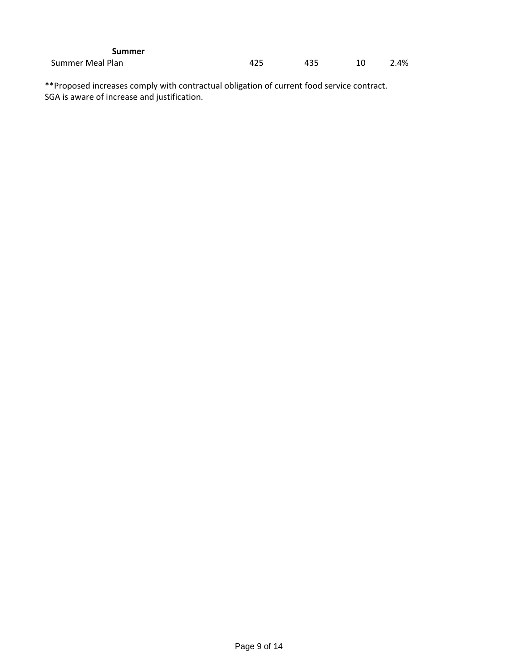| <b>Summer</b>    |     |     |      |
|------------------|-----|-----|------|
| Summer Meal Plan | 425 | 435 | 2.4% |

\*\*Proposed increases comply with contractual obligation of current food service contract. SGA is aware of increase and justification.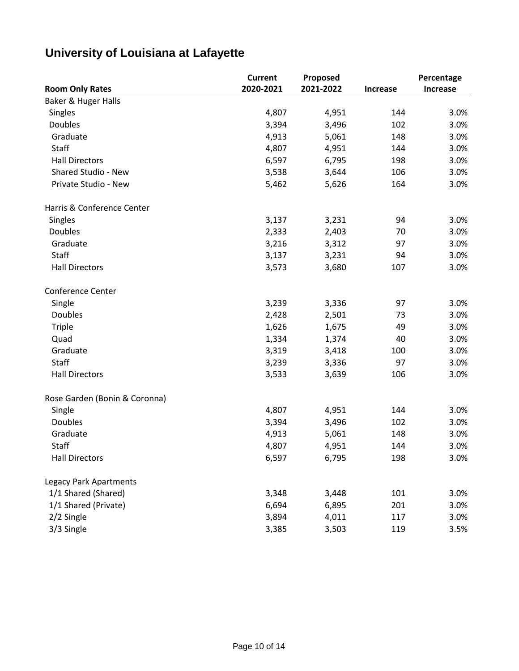# **University of Louisiana at Lafayette**

|                               | <b>Current</b> | Proposed  |                 | Percentage |
|-------------------------------|----------------|-----------|-----------------|------------|
| <b>Room Only Rates</b>        | 2020-2021      | 2021-2022 | <b>Increase</b> | Increase   |
| Baker & Huger Halls           |                |           |                 |            |
| Singles                       | 4,807          | 4,951     | 144             | 3.0%       |
| <b>Doubles</b>                | 3,394          | 3,496     | 102             | 3.0%       |
| Graduate                      | 4,913          | 5,061     | 148             | 3.0%       |
| Staff                         | 4,807          | 4,951     | 144             | 3.0%       |
| <b>Hall Directors</b>         | 6,597          | 6,795     | 198             | 3.0%       |
| Shared Studio - New           | 3,538          | 3,644     | 106             | 3.0%       |
| Private Studio - New          | 5,462          | 5,626     | 164             | 3.0%       |
| Harris & Conference Center    |                |           |                 |            |
| Singles                       | 3,137          | 3,231     | 94              | 3.0%       |
| Doubles                       | 2,333          | 2,403     | 70              | 3.0%       |
| Graduate                      | 3,216          | 3,312     | 97              | 3.0%       |
| <b>Staff</b>                  | 3,137          | 3,231     | 94              | 3.0%       |
| <b>Hall Directors</b>         | 3,573          | 3,680     | 107             | 3.0%       |
| Conference Center             |                |           |                 |            |
| Single                        | 3,239          | 3,336     | 97              | 3.0%       |
| <b>Doubles</b>                | 2,428          | 2,501     | 73              | 3.0%       |
| <b>Triple</b>                 | 1,626          | 1,675     | 49              | 3.0%       |
| Quad                          | 1,334          | 1,374     | 40              | 3.0%       |
| Graduate                      | 3,319          | 3,418     | 100             | 3.0%       |
| Staff                         | 3,239          | 3,336     | 97              | 3.0%       |
| <b>Hall Directors</b>         | 3,533          | 3,639     | 106             | 3.0%       |
| Rose Garden (Bonin & Coronna) |                |           |                 |            |
| Single                        | 4,807          | 4,951     | 144             | 3.0%       |
| <b>Doubles</b>                | 3,394          | 3,496     | 102             | 3.0%       |
| Graduate                      | 4,913          | 5,061     | 148             | 3.0%       |
| Staff                         | 4,807          | 4,951     | 144             | 3.0%       |
| <b>Hall Directors</b>         | 6,597          | 6,795     | 198             | 3.0%       |
| <b>Legacy Park Apartments</b> |                |           |                 |            |
| 1/1 Shared (Shared)           | 3,348          | 3,448     | 101             | 3.0%       |
| 1/1 Shared (Private)          | 6,694          | 6,895     | 201             | 3.0%       |
| 2/2 Single                    | 3,894          | 4,011     | 117             | 3.0%       |
| 3/3 Single                    | 3,385          | 3,503     | 119             | 3.5%       |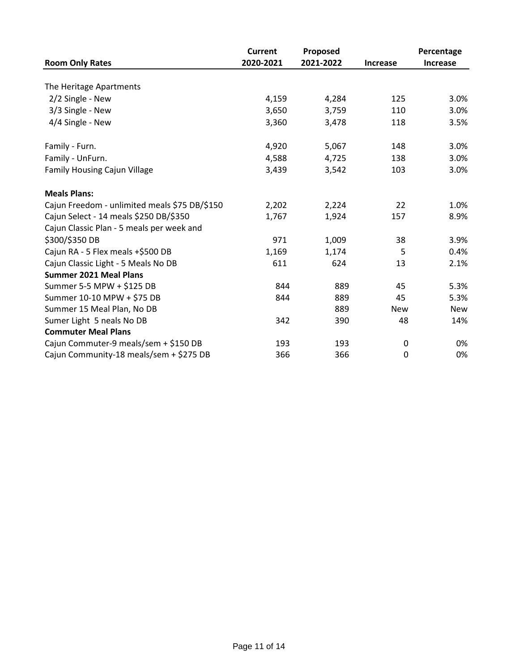|                                               | <b>Current</b> | Proposed  |                 | Percentage      |
|-----------------------------------------------|----------------|-----------|-----------------|-----------------|
| <b>Room Only Rates</b>                        | 2020-2021      | 2021-2022 | <b>Increase</b> | <b>Increase</b> |
|                                               |                |           |                 |                 |
| The Heritage Apartments                       |                |           |                 |                 |
| 2/2 Single - New                              | 4,159          | 4,284     | 125             | 3.0%            |
| 3/3 Single - New                              | 3,650          | 3,759     | 110             | 3.0%            |
| 4/4 Single - New                              | 3,360          | 3,478     | 118             | 3.5%            |
| Family - Furn.                                | 4,920          | 5,067     | 148             | 3.0%            |
| Family - UnFurn.                              | 4,588          | 4,725     | 138             | 3.0%            |
| <b>Family Housing Cajun Village</b>           | 3,439          | 3,542     | 103             | 3.0%            |
| <b>Meals Plans:</b>                           |                |           |                 |                 |
| Cajun Freedom - unlimited meals \$75 DB/\$150 | 2,202          | 2,224     | 22              | 1.0%            |
| Cajun Select - 14 meals \$250 DB/\$350        | 1,767          | 1,924     | 157             | 8.9%            |
| Cajun Classic Plan - 5 meals per week and     |                |           |                 |                 |
| \$300/\$350 DB                                | 971            | 1,009     | 38              | 3.9%            |
| Cajun RA - 5 Flex meals +\$500 DB             | 1,169          | 1,174     | 5               | 0.4%            |
| Cajun Classic Light - 5 Meals No DB           | 611            | 624       | 13              | 2.1%            |
| <b>Summer 2021 Meal Plans</b>                 |                |           |                 |                 |
| Summer 5-5 MPW + \$125 DB                     | 844            | 889       | 45              | 5.3%            |
| Summer 10-10 MPW + \$75 DB                    | 844            | 889       | 45              | 5.3%            |
| Summer 15 Meal Plan, No DB                    |                | 889       | New             | New             |
| Sumer Light 5 neals No DB                     | 342            | 390       | 48              | 14%             |
| <b>Commuter Meal Plans</b>                    |                |           |                 |                 |
| Cajun Commuter-9 meals/sem + \$150 DB         | 193            | 193       | 0               | 0%              |
| Cajun Community-18 meals/sem + \$275 DB       | 366            | 366       | 0               | 0%              |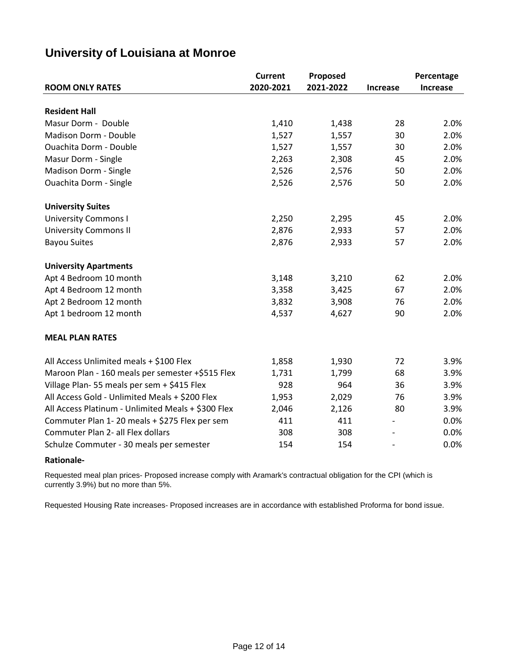| University of Louisiana at Monroe |  |  |
|-----------------------------------|--|--|
|-----------------------------------|--|--|

|                                                    | <b>Current</b> | Proposed  |                          | Percentage      |
|----------------------------------------------------|----------------|-----------|--------------------------|-----------------|
| <b>ROOM ONLY RATES</b>                             | 2020-2021      | 2021-2022 | Increase                 | <b>Increase</b> |
|                                                    |                |           |                          |                 |
| <b>Resident Hall</b>                               |                |           |                          |                 |
| Masur Dorm - Double                                | 1,410          | 1,438     | 28                       | 2.0%            |
| Madison Dorm - Double                              | 1,527          | 1,557     | 30                       | 2.0%            |
| <b>Ouachita Dorm - Double</b>                      | 1,527          | 1,557     | 30                       | 2.0%            |
| Masur Dorm - Single                                | 2,263          | 2,308     | 45                       | 2.0%            |
| Madison Dorm - Single                              | 2,526          | 2,576     | 50                       | 2.0%            |
| Ouachita Dorm - Single                             | 2,526          | 2,576     | 50                       | 2.0%            |
| <b>University Suites</b>                           |                |           |                          |                 |
| <b>University Commons I</b>                        | 2,250          | 2,295     | 45                       | 2.0%            |
| <b>University Commons II</b>                       | 2,876          | 2,933     | 57                       | 2.0%            |
| <b>Bayou Suites</b>                                | 2,876          | 2,933     | 57                       | 2.0%            |
| <b>University Apartments</b>                       |                |           |                          |                 |
| Apt 4 Bedroom 10 month                             | 3,148          | 3,210     | 62                       | 2.0%            |
| Apt 4 Bedroom 12 month                             | 3,358          | 3,425     | 67                       | 2.0%            |
| Apt 2 Bedroom 12 month                             | 3,832          | 3,908     | 76                       | 2.0%            |
| Apt 1 bedroom 12 month                             | 4,537          | 4,627     | 90                       | 2.0%            |
| <b>MEAL PLAN RATES</b>                             |                |           |                          |                 |
| All Access Unlimited meals + \$100 Flex            | 1,858          | 1,930     | 72                       | 3.9%            |
| Maroon Plan - 160 meals per semester +\$515 Flex   | 1,731          | 1,799     | 68                       | 3.9%            |
| Village Plan-55 meals per sem + \$415 Flex         | 928            | 964       | 36                       | 3.9%            |
| All Access Gold - Unlimited Meals + \$200 Flex     | 1,953          | 2,029     | 76                       | 3.9%            |
| All Access Platinum - Unlimited Meals + \$300 Flex | 2,046          | 2,126     | 80                       | 3.9%            |
| Commuter Plan 1-20 meals + \$275 Flex per sem      | 411            | 411       |                          | 0.0%            |
| Commuter Plan 2- all Flex dollars                  | 308            | 308       |                          | 0.0%            |
| Schulze Commuter - 30 meals per semester           | 154            | 154       | $\overline{\phantom{a}}$ | 0.0%            |

#### **Rationale-**

Requested meal plan prices- Proposed increase comply with Aramark's contractual obligation for the CPI (which is currently 3.9%) but no more than 5%.

Requested Housing Rate increases- Proposed increases are in accordance with established Proforma for bond issue.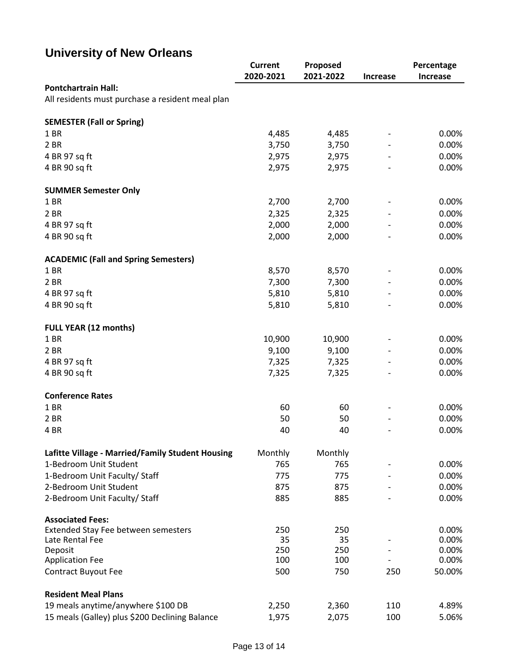# **University of New Orleans**

|                                                  | <b>Current</b> | Proposed  |                          | Percentage      |
|--------------------------------------------------|----------------|-----------|--------------------------|-----------------|
|                                                  | 2020-2021      | 2021-2022 | <b>Increase</b>          | <b>Increase</b> |
| <b>Pontchartrain Hall:</b>                       |                |           |                          |                 |
| All residents must purchase a resident meal plan |                |           |                          |                 |
| <b>SEMESTER (Fall or Spring)</b>                 |                |           |                          |                 |
| 1 BR                                             | 4,485          | 4,485     | $\overline{\phantom{a}}$ | 0.00%           |
| 2 BR                                             | 3,750          | 3,750     |                          | 0.00%           |
| 4 BR 97 sq ft                                    | 2,975          | 2,975     |                          | 0.00%           |
| 4 BR 90 sq ft                                    | 2,975          | 2,975     |                          | 0.00%           |
| <b>SUMMER Semester Only</b>                      |                |           |                          |                 |
| 1 BR                                             | 2,700          | 2,700     |                          | 0.00%           |
| 2 BR                                             | 2,325          | 2,325     |                          | 0.00%           |
| 4 BR 97 sq ft                                    | 2,000          | 2,000     |                          | 0.00%           |
| 4 BR 90 sq ft                                    | 2,000          | 2,000     |                          | 0.00%           |
|                                                  |                |           |                          |                 |
| <b>ACADEMIC (Fall and Spring Semesters)</b>      |                |           |                          |                 |
| 1 BR                                             | 8,570          | 8,570     |                          | 0.00%           |
| 2 BR                                             | 7,300          | 7,300     |                          | 0.00%           |
| 4 BR 97 sq ft                                    | 5,810          | 5,810     |                          | 0.00%           |
| 4 BR 90 sq ft                                    | 5,810          | 5,810     |                          | 0.00%           |
| <b>FULL YEAR (12 months)</b>                     |                |           |                          |                 |
| 1 BR                                             | 10,900         | 10,900    |                          | 0.00%           |
| 2 BR                                             | 9,100          | 9,100     |                          | 0.00%           |
|                                                  |                |           |                          |                 |
| 4 BR 97 sq ft                                    | 7,325          | 7,325     |                          | 0.00%           |
| 4 BR 90 sq ft                                    | 7,325          | 7,325     |                          | 0.00%           |
| <b>Conference Rates</b>                          |                |           |                          |                 |
| 1 BR                                             | 60             | 60        | $\overline{\phantom{a}}$ | 0.00%           |
| 2 BR                                             | 50             | 50        |                          | 0.00%           |
| 4 BR                                             | 40             | 40        |                          | 0.00%           |
| Lafitte Village - Married/Family Student Housing | Monthly        | Monthly   |                          |                 |
| 1-Bedroom Unit Student                           | 765            | 765       | -                        | 0.00%           |
| 1-Bedroom Unit Faculty/ Staff                    | 775            | 775       |                          | 0.00%           |
| 2-Bedroom Unit Student                           | 875            | 875       |                          | 0.00%           |
| 2-Bedroom Unit Faculty/ Staff                    | 885            | 885       |                          | 0.00%           |
| <b>Associated Fees:</b>                          |                |           |                          |                 |
| Extended Stay Fee between semesters              | 250            | 250       |                          | 0.00%           |
| Late Rental Fee                                  | 35             | 35        |                          | 0.00%           |
| Deposit                                          | 250            | 250       |                          | 0.00%           |
| <b>Application Fee</b>                           | 100            | 100       |                          | 0.00%           |
| <b>Contract Buyout Fee</b>                       | 500            | 750       | 250                      | 50.00%          |
| <b>Resident Meal Plans</b>                       |                |           |                          |                 |
| 19 meals anytime/anywhere \$100 DB               | 2,250          | 2,360     | 110                      | 4.89%           |
| 15 meals (Galley) plus \$200 Declining Balance   | 1,975          | 2,075     | 100                      | 5.06%           |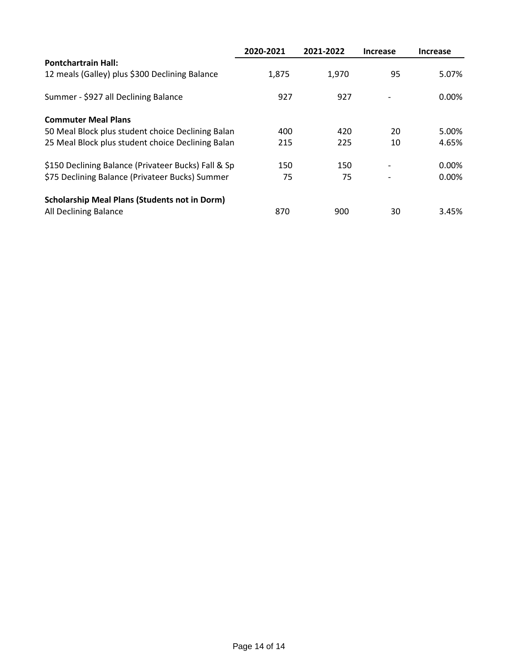|                                                      | 2020-2021 | 2021-2022 | <b>Increase</b>          | <b>Increase</b> |
|------------------------------------------------------|-----------|-----------|--------------------------|-----------------|
| <b>Pontchartrain Hall:</b>                           |           |           |                          |                 |
| 12 meals (Galley) plus \$300 Declining Balance       | 1,875     | 1,970     | 95                       | 5.07%           |
| Summer - \$927 all Declining Balance                 | 927       | 927       |                          | $0.00\%$        |
| <b>Commuter Meal Plans</b>                           |           |           |                          |                 |
| 50 Meal Block plus student choice Declining Balan    | 400       | 420       | 20                       | 5.00%           |
| 25 Meal Block plus student choice Declining Balan    | 215       | 225       | 10                       | 4.65%           |
| \$150 Declining Balance (Privateer Bucks) Fall & Sp  | 150       | 150       | $\overline{\phantom{a}}$ | $0.00\%$        |
| \$75 Declining Balance (Privateer Bucks) Summer      | 75        | 75        |                          | $0.00\%$        |
| <b>Scholarship Meal Plans (Students not in Dorm)</b> |           |           |                          |                 |
| All Declining Balance                                | 870       | 900       | 30                       | 3.45%           |